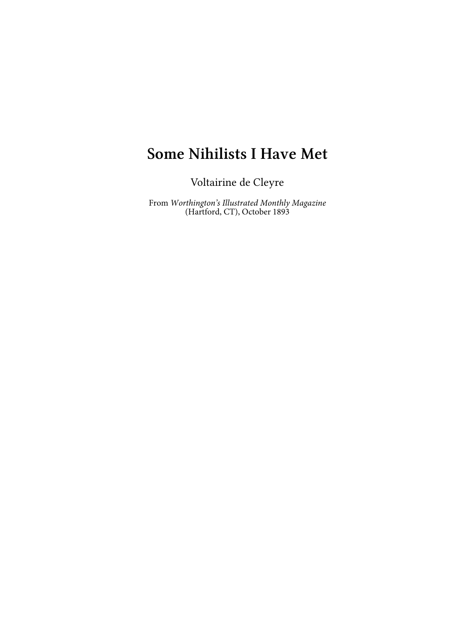## **Some Nihilists I Have Met**

Voltairine de Cleyre

From *Worthington's Illustrated Monthly Magazine* (Hartford, CT), October 1893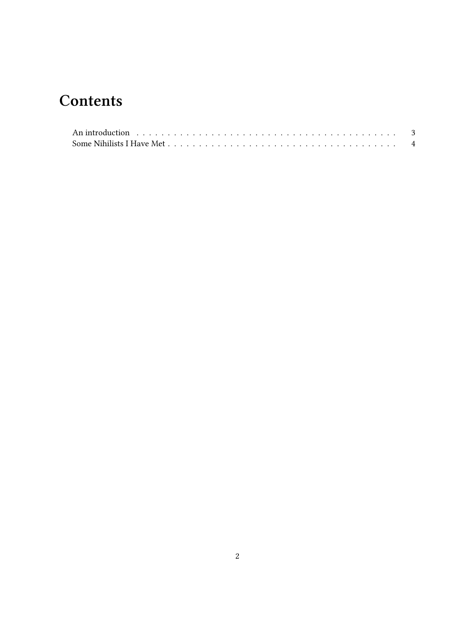## **Contents**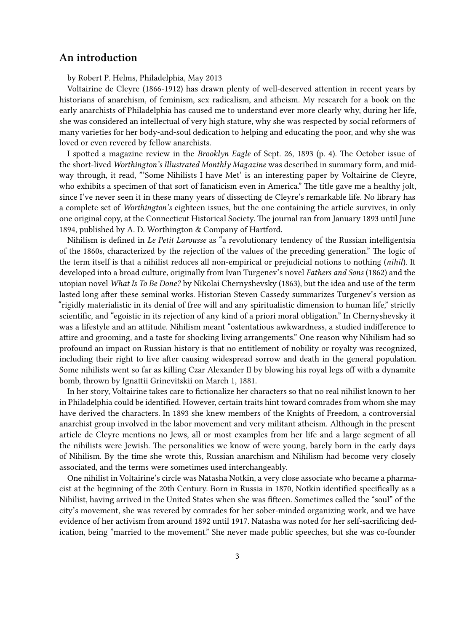## <span id="page-2-0"></span>**An introduction**

by Robert P. Helms, Philadelphia, May 2013

Voltairine de Cleyre (1866-1912) has drawn plenty of well-deserved attention in recent years by historians of anarchism, of feminism, sex radicalism, and atheism. My research for a book on the early anarchists of Philadelphia has caused me to understand ever more clearly why, during her life, she was considered an intellectual of very high stature, why she was respected by social reformers of many varieties for her body-and-soul dedication to helping and educating the poor, and why she was loved or even revered by fellow anarchists.

I spotted a magazine review in the *Brooklyn Eagle* of Sept. 26, 1893 (p. 4). The October issue of the short-lived *Worthington's Illustrated Monthly Magazine* was described in summary form, and midway through, it read, "'Some Nihilists I have Met' is an interesting paper by Voltairine de Cleyre, who exhibits a specimen of that sort of fanaticism even in America." The title gave me a healthy jolt, since I've never seen it in these many years of dissecting de Cleyre's remarkable life. No library has a complete set of *Worthington's* eighteen issues, but the one containing the article survives, in only one original copy, at the Connecticut Historical Society. The journal ran from January 1893 until June 1894, published by A. D. Worthington & Company of Hartford.

Nihilism is defined in *Le Petit Larousse* as "a revolutionary tendency of the Russian intelligentsia of the 1860s, characterized by the rejection of the values of the preceding generation." The logic of the term itself is that a nihilist reduces all non-empirical or prejudicial notions to nothing (*nihil*). It developed into a broad culture, originally from Ivan Turgenev's novel *Fathers and Sons* (1862) and the utopian novel *What Is To Be Done?* by Nikolai Chernyshevsky (1863), but the idea and use of the term lasted long after these seminal works. Historian Steven Cassedy summarizes Turgenev's version as "rigidly materialistic in its denial of free will and any spiritualistic dimension to human life," strictly scientific, and "egoistic in its rejection of any kind of a priori moral obligation." In Chernyshevsky it was a lifestyle and an attitude. Nihilism meant "ostentatious awkwardness, a studied indifference to attire and grooming, and a taste for shocking living arrangements." One reason why Nihilism had so profound an impact on Russian history is that no entitlement of nobility or royalty was recognized, including their right to live after causing widespread sorrow and death in the general population. Some nihilists went so far as killing Czar Alexander II by blowing his royal legs off with a dynamite bomb, thrown by Ignattii Grinevitskii on March 1, 1881.

In her story, Voltairine takes care to fictionalize her characters so that no real nihilist known to her in Philadelphia could be identified. However, certain traits hint toward comrades from whom she may have derived the characters. In 1893 she knew members of the Knights of Freedom, a controversial anarchist group involved in the labor movement and very militant atheism. Although in the present article de Cleyre mentions no Jews, all or most examples from her life and a large segment of all the nihilists were Jewish. The personalities we know of were young, barely born in the early days of Nihilism. By the time she wrote this, Russian anarchism and Nihilism had become very closely associated, and the terms were sometimes used interchangeably.

One nihilist in Voltairine's circle was Natasha Notkin, a very close associate who became a pharmacist at the beginning of the 20th Century. Born in Russia in 1870, Notkin identified specifically as a Nihilist, having arrived in the United States when she was fifteen. Sometimes called the "soul" of the city's movement, she was revered by comrades for her sober-minded organizing work, and we have evidence of her activism from around 1892 until 1917. Natasha was noted for her self-sacrificing dedication, being "married to the movement." She never made public speeches, but she was co-founder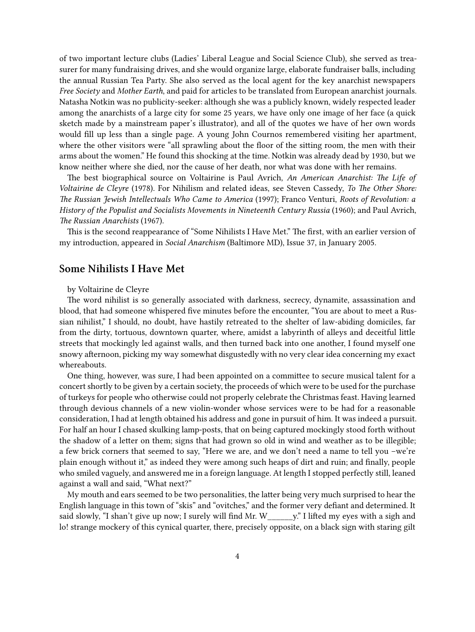of two important lecture clubs (Ladies' Liberal League and Social Science Club), she served as treasurer for many fundraising drives, and she would organize large, elaborate fundraiser balls, including the annual Russian Tea Party. She also served as the local agent for the key anarchist newspapers *Free Society* and *Mother Earth*, and paid for articles to be translated from European anarchist journals. Natasha Notkin was no publicity-seeker: although she was a publicly known, widely respected leader among the anarchists of a large city for some 25 years, we have only one image of her face (a quick sketch made by a mainstream paper's illustrator), and all of the quotes we have of her own words would fill up less than a single page. A young John Cournos remembered visiting her apartment, where the other visitors were "all sprawling about the floor of the sitting room, the men with their arms about the women." He found this shocking at the time. Notkin was already dead by 1930, but we know neither where she died, nor the cause of her death, nor what was done with her remains.

The best biographical source on Voltairine is Paul Avrich, *An American Anarchist: The Life of Voltairine de Cleyre* (1978). For Nihilism and related ideas, see Steven Cassedy, *To The Other Shore: The Russian Jewish Intellectuals Who Came to America* (1997); Franco Venturi, *Roots of Revolution: a History of the Populist and Socialists Movements in Nineteenth Century Russia* (1960); and Paul Avrich, *The Russian Anarchists* (1967).

This is the second reappearance of "Some Nihilists I Have Met." The first, with an earlier version of my introduction, appeared in *Social Anarchism* (Baltimore MD), Issue 37, in January 2005.

## <span id="page-3-0"></span>**Some Nihilists I Have Met**

by Voltairine de Cleyre

The word nihilist is so generally associated with darkness, secrecy, dynamite, assassination and blood, that had someone whispered five minutes before the encounter, "You are about to meet a Russian nihilist," I should, no doubt, have hastily retreated to the shelter of law-abiding domiciles, far from the dirty, tortuous, downtown quarter, where, amidst a labyrinth of alleys and deceitful little streets that mockingly led against walls, and then turned back into one another, I found myself one snowy afternoon, picking my way somewhat disgustedly with no very clear idea concerning my exact whereabouts.

One thing, however, was sure, I had been appointed on a committee to secure musical talent for a concert shortly to be given by a certain society, the proceeds of which were to be used for the purchase of turkeys for people who otherwise could not properly celebrate the Christmas feast. Having learned through devious channels of a new violin-wonder whose services were to be had for a reasonable consideration, I had at length obtained his address and gone in pursuit of him. It was indeed a pursuit. For half an hour I chased skulking lamp-posts, that on being captured mockingly stood forth without the shadow of a letter on them; signs that had grown so old in wind and weather as to be illegible; a few brick corners that seemed to say, "Here we are, and we don't need a name to tell you –we're plain enough without it," as indeed they were among such heaps of dirt and ruin; and finally, people who smiled vaguely, and answered me in a foreign language. At length I stopped perfectly still, leaned against a wall and said, "What next?"

My mouth and ears seemed to be two personalities, the latter being very much surprised to hear the English language in this town of "skis" and "ovitches," and the former very defiant and determined. It said slowly, "I shan't give up now; I surely will find Mr. W\_\_\_\_\_\_y." I lifted my eyes with a sigh and lo! strange mockery of this cynical quarter, there, precisely opposite, on a black sign with staring gilt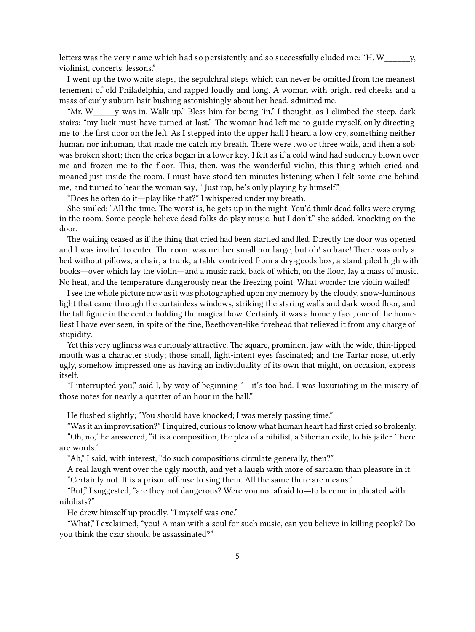letters was the very name which had so persistently and so successfully eluded me: "H. W\_\_\_\_\_\_y, violinist, concerts, lessons."

I went up the two white steps, the sepulchral steps which can never be omitted from the meanest tenement of old Philadelphia, and rapped loudly and long. A woman with bright red cheeks and a mass of curly auburn hair bushing astonishingly about her head, admitted me.

"Mr. W\_\_\_\_\_y was in. Walk up." Bless him for being 'in," I thought, as I climbed the steep, dark stairs; "my luck must have turned at last." The woman had left me to guide my self, only directing me to the first door on the left. As I stepped into the upper hall I heard a low cry, something neither human nor inhuman, that made me catch my breath. There were two or three wails, and then a sob was broken short; then the cries began in a lower key. I felt as if a cold wind had suddenly blown over me and frozen me to the floor. This, then, was the wonderful violin, this thing which cried and moaned just inside the room. I must have stood ten minutes listening when I felt some one behind me, and turned to hear the woman say, " Just rap, he's only playing by himself."

"Does he often do it—play like that?" I whispered under my breath.

She smiled; "All the time. The worst is, he gets up in the night. You'd think dead folks were crying in the room. Some people believe dead folks do play music, but I don't," she added, knocking on the door.

The wailing ceased as if the thing that cried had been startled and fled. Directly the door was opened and I was invited to enter. The room was neither small nor large, but oh! so bare! There was only a bed without pillows, a chair, a trunk, a table contrived from a dry-goods box, a stand piled high with books—over which lay the violin—and a music rack, back of which, on the floor, lay a mass of music. No heat, and the temperature dangerously near the freezing point. What wonder the violin wailed!

I see the whole picture now as it was photographed upon my memory by the cloudy, snow-luminous light that came through the curtainless windows, striking the staring walls and dark wood floor, and the tall figure in the center holding the magical bow. Certainly it was a homely face, one of the homeliest I have ever seen, in spite of the fine, Beethoven-like forehead that relieved it from any charge of stupidity.

Yet this very ugliness was curiously attractive. The square, prominent jaw with the wide, thin-lipped mouth was a character study; those small, light-intent eyes fascinated; and the Tartar nose, utterly ugly, somehow impressed one as having an individuality of its own that might, on occasion, express itself.

"I interrupted you," said I, by way of beginning "—it's too bad. I was luxuriating in the misery of those notes for nearly a quarter of an hour in the hall."

He flushed slightly; "You should have knocked; I was merely passing time."

"Was it an improvisation?" I inquired, curious to know what human heart had first cried so brokenly. "Oh, no," he answered, "it is a composition, the plea of a nihilist, a Siberian exile, to his jailer. There are words."

"Ah," I said, with interest, "do such compositions circulate generally, then?"

A real laugh went over the ugly mouth, and yet a laugh with more of sarcasm than pleasure in it. "Certainly not. It is a prison offense to sing them. All the same there are means."

"But," I suggested, "are they not dangerous? Were you not afraid to—to become implicated with nihilists?"

He drew himself up proudly. "I myself was one."

"What," I exclaimed, "you! A man with a soul for such music, can you believe in killing people? Do you think the czar should be assassinated?"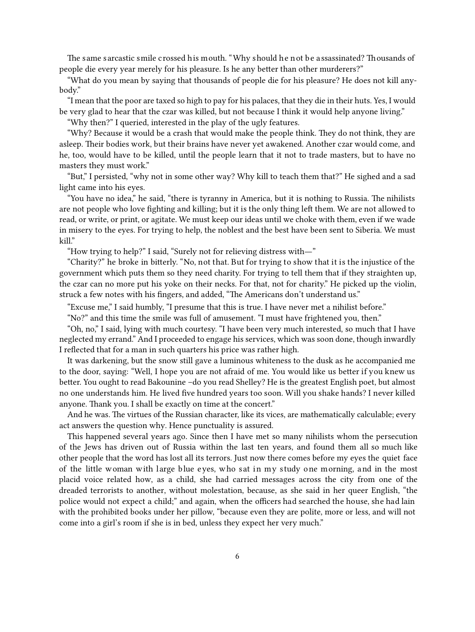The same sarcastic smile crossed his mouth. "Why should he not be assassinated? Thousands of people die every year merely for his pleasure. Is he any better than other murderers?"

"What do you mean by saying that thousands of people die for his pleasure? He does not kill anybody."

"I mean that the poor are taxed so high to pay for his palaces, that they die in their huts. Yes, I would be very glad to hear that the czar was killed, but not because I think it would help anyone living."

"Why then?" I queried, interested in the play of the ugly features.

"Why? Because it would be a crash that would make the people think. They do not think, they are asleep. Their bodies work, but their brains have never yet awakened. Another czar would come, and he, too, would have to be killed, until the people learn that it not to trade masters, but to have no masters they must work."

"But," I persisted, "why not in some other way? Why kill to teach them that?" He sighed and a sad light came into his eyes.

"You have no idea," he said, "there is tyranny in America, but it is nothing to Russia. The nihilists are not people who love fighting and killing; but it is the only thing left them. We are not allowed to read, or write, or print, or agitate. We must keep our ideas until we choke with them, even if we wade in misery to the eyes. For trying to help, the noblest and the best have been sent to Siberia. We must kill."

"How trying to help?" I said, "Surely not for relieving distress with—"

"Charity?" he broke in bitterly. "No, not that. But for trying to show that it is the injustice of the government which puts them so they need charity. For trying to tell them that if they straighten up, the czar can no more put his yoke on their necks. For that, not for charity." He picked up the violin, struck a few notes with his fingers, and added, "The Americans don't understand us."

"Excuse me," I said humbly, "I presume that this is true. I have never met a nihilist before."

"No?" and this time the smile was full of amusement. "I must have frightened you, then."

"Oh, no," I said, lying with much courtesy. "I have been very much interested, so much that I have neglected my errand." And I proceeded to engage his services, which was soon done, though inwardly I reflected that for a man in such quarters his price was rather high.

It was darkening, but the snow still gave a luminous whiteness to the dusk as he accompanied me to the door, saying: "Well, I hope you are not afraid of me. You would like us better if you knew us better. You ought to read Bakounine –do you read Shelley? He is the greatest English poet, but almost no one understands him. He lived five hundred years too soon. Will you shake hands? I never killed anyone. Thank you. I shall be exactly on time at the concert."

And he was. The virtues of the Russian character, like its vices, are mathematically calculable; every act answers the question why. Hence punctuality is assured.

This happened several years ago. Since then I have met so many nihilists whom the persecution of the Jews has driven out of Russia within the last ten years, and found them all so much like other people that the word has lost all its terrors. Just now there comes before my eyes the quiet face of the little woman with large blue eyes, who sat in my study one morning, and in the most placid voice related how, as a child, she had carried messages across the city from one of the dreaded terrorists to another, without molestation, because, as she said in her queer English, "the police would not expect a child;" and again, when the officers had searched the house, she had lain with the prohibited books under her pillow, "because even they are polite, more or less, and will not come into a girl's room if she is in bed, unless they expect her very much."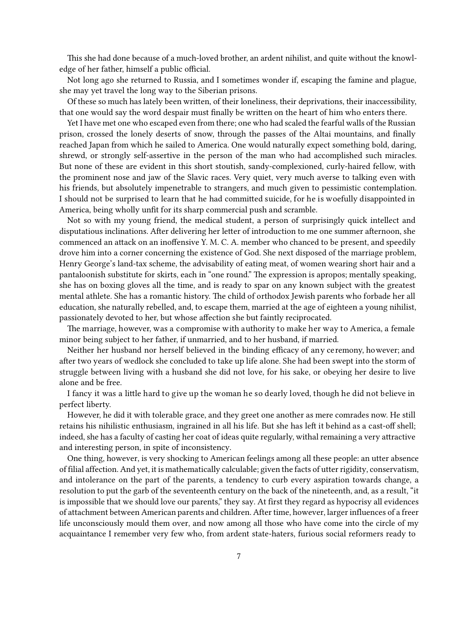This she had done because of a much-loved brother, an ardent nihilist, and quite without the knowledge of her father, himself a public official.

Not long ago she returned to Russia, and I sometimes wonder if, escaping the famine and plague, she may yet travel the long way to the Siberian prisons.

Of these so much has lately been written, of their loneliness, their deprivations, their inaccessibility, that one would say the word despair must finally be written on the heart of him who enters there.

Yet I have met one who escaped even from there; one who had scaled the fearful walls of the Russian prison, crossed the lonely deserts of snow, through the passes of the Altai mountains, and finally reached Japan from which he sailed to America. One would naturally expect something bold, daring, shrewd, or strongly self-assertive in the person of the man who had accomplished such miracles. But none of these are evident in this short stoutish, sandy-complexioned, curly-haired fellow, with the prominent nose and jaw of the Slavic races. Very quiet, very much averse to talking even with his friends, but absolutely impenetrable to strangers, and much given to pessimistic contemplation. I should not be surprised to learn that he had committed suicide, for he is woefully disappointed in America, being wholly unfit for its sharp commercial push and scramble.

Not so with my young friend, the medical student, a person of surprisingly quick intellect and disputatious inclinations. After delivering her letter of introduction to me one summer afternoon, she commenced an attack on an inoffensive Y. M. C. A. member who chanced to be present, and speedily drove him into a corner concerning the existence of God. She next disposed of the marriage problem, Henry George's land-tax scheme, the advisability of eating meat, of women wearing short hair and a pantaloonish substitute for skirts, each in "one round." The expression is apropos; mentally speaking, she has on boxing gloves all the time, and is ready to spar on any known subject with the greatest mental athlete. She has a romantic history. The child of orthodox Jewish parents who forbade her all education, she naturally rebelled, and, to escape them, married at the age of eighteen a young nihilist, passionately devoted to her, but whose affection she but faintly reciprocated.

The marriage, however, was a compromise with authority to make her way to America, a female minor being subject to her father, if unmarried, and to her husband, if married.

Neither her husband nor herself believed in the binding efficacy of any ceremony, however; and after two years of wedlock she concluded to take up life alone. She had been swept into the storm of struggle between living with a husband she did not love, for his sake, or obeying her desire to live alone and be free.

I fancy it was a little hard to give up the woman he so dearly loved, though he did not believe in perfect liberty.

However, he did it with tolerable grace, and they greet one another as mere comrades now. He still retains his nihilistic enthusiasm, ingrained in all his life. But she has left it behind as a cast-off shell; indeed, she has a faculty of casting her coat of ideas quite regularly, withal remaining a very attractive and interesting person, in spite of inconsistency.

One thing, however, is very shocking to American feelings among all these people: an utter absence of filial affection. And yet, it is mathematically calculable; given the facts of utterrigidity, conservatism, and intolerance on the part of the parents, a tendency to curb every aspiration towards change, a resolution to put the garb of the seventeenth century on the back of the nineteenth, and, as a result, "it is impossible that we should love our parents," they say. At first they regard as hypocrisy all evidences of attachment between American parents and children. After time, however, larger influences of a freer life unconsciously mould them over, and now among all those who have come into the circle of my acquaintance I remember very few who, from ardent state-haters, furious social reformers ready to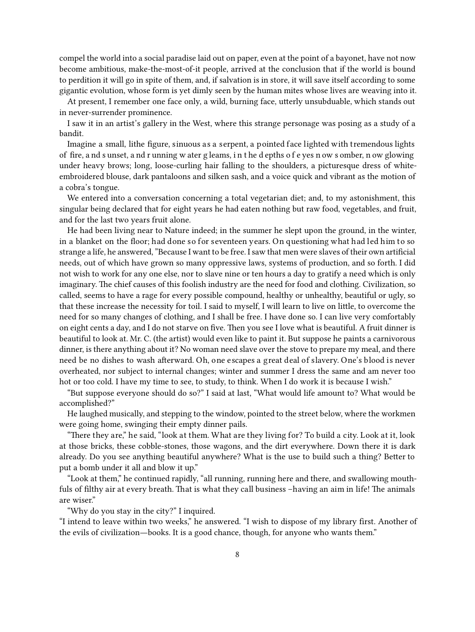compel the world into a social paradise laid out on paper, even at the point of a bayonet, have not now become ambitious, make-the-most-of-it people, arrived at the conclusion that if the world is bound to perdition it will go in spite of them, and, if salvation is in store, it will save itself according to some gigantic evolution, whose form is yet dimly seen by the human mites whose lives are weaving into it.

At present, I remember one face only, a wild, burning face, utterly unsubduable, which stands out in never-surrender prominence.

I saw it in an artist's gallery in the West, where this strange personage was posing as a study of a bandit.

Imagine a small, lithe figure, sinuous as a serpent, a pointed face lighted with tremendous lights of fire, a nd s unset, a nd r unning w ater g leams, i n t he d epths o f e yes n ow s omber, n ow glowing under heavy brows; long, loose-curling hair falling to the shoulders, a picturesque dress of whiteembroidered blouse, dark pantaloons and silken sash, and a voice quick and vibrant as the motion of a cobra's tongue.

We entered into a conversation concerning a total vegetarian diet; and, to my astonishment, this singular being declared that for eight years he had eaten nothing but raw food, vegetables, and fruit, and for the last two years fruit alone.

He had been living near to Nature indeed; in the summer he slept upon the ground, in the winter, in a blanket on the floor; had done so for seventeen years. On questioning what had led him to so strange a life, he answered,"Because I want to be free. Isaw that men were slaves of their own artificial needs, out of which have grown so many oppressive laws, systems of production, and so forth. I did not wish to work for any one else, nor to slave nine or ten hours a day to gratify a need which is only imaginary. The chief causes of this foolish industry are the need for food and clothing. Civilization, so called, seems to have a rage for every possible compound, healthy or unhealthy, beautiful or ugly, so that these increase the necessity for toil. I said to myself, I will learn to live on little, to overcome the need for so many changes of clothing, and I shall be free. I have done so. I can live very comfortably on eight cents a day, and I do not starve on five. Then you see I love what is beautiful. A fruit dinner is beautiful to look at. Mr. C. (the artist) would even like to paint it. But suppose he paints a carnivorous dinner, is there anything about it? No woman need slave over the stove to prepare my meal, and there need be no dishes to wash afterward. Oh, one escapes a great deal of slavery. One's blood is never overheated, nor subject to internal changes; winter and summer I dress the same and am never too hot or too cold. I have my time to see, to study, to think. When I do work it is because I wish."

"But suppose everyone should do so?" I said at last, "What would life amount to? What would be accomplished?"

He laughed musically, and stepping to the window, pointed to the street below, where the workmen were going home, swinging their empty dinner pails.

"There they are," he said, "look at them. What are they living for? To build a city. Look at it, look at those bricks, these cobble-stones, those wagons, and the dirt everywhere. Down there it is dark already. Do you see anything beautiful anywhere? What is the use to build such a thing? Better to put a bomb under it all and blow it up."

"Look at them," he continued rapidly, "all running, running here and there, and swallowing mouthfuls of filthy air at every breath. That is what they call business –having an aim in life! The animals are wiser."

"Why do you stay in the city?" I inquired.

"I intend to leave within two weeks," he answered. "I wish to dispose of my library first. Another of the evils of civilization—books. It is a good chance, though, for anyone who wants them."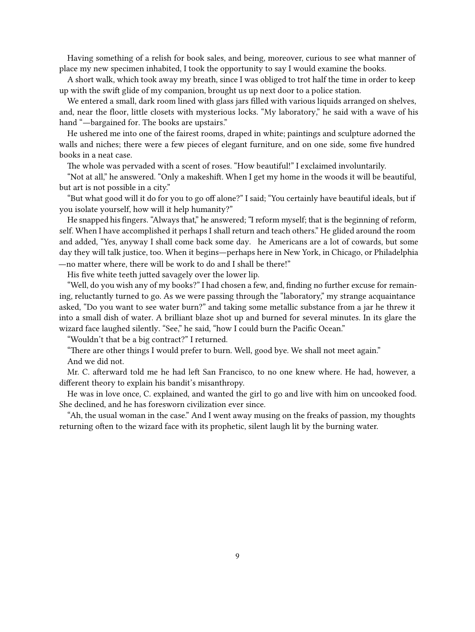Having something of a relish for book sales, and being, moreover, curious to see what manner of place my new specimen inhabited, I took the opportunity to say I would examine the books.

A short walk, which took away my breath, since I was obliged to trot half the time in order to keep up with the swift glide of my companion, brought us up next door to a police station.

We entered a small, dark room lined with glass jars filled with various liquids arranged on shelves, and, near the floor, little closets with mysterious locks. "My laboratory," he said with a wave of his hand "—bargained for. The books are upstairs."

He ushered me into one of the fairest rooms, draped in white; paintings and sculpture adorned the walls and niches; there were a few pieces of elegant furniture, and on one side, some five hundred books in a neat case.

The whole was pervaded with a scent of roses. "How beautiful!" I exclaimed involuntarily.

"Not at all," he answered. "Only a makeshift. When I get my home in the woods it will be beautiful, but art is not possible in a city."

"But what good will it do for you to go off alone?" I said; "You certainly have beautiful ideals, but if you isolate yourself, how will it help humanity?"

He snapped his fingers. "Always that," he answered; "I reform myself; that is the beginning of reform, self. When I have accomplished it perhaps I shall return and teach others." He glided around the room and added, "Yes, anyway I shall come back some day. he Americans are a lot of cowards, but some day they will talk justice, too. When it begins—perhaps here in New York, in Chicago, or Philadelphia

—no matter where, there will be work to do and I shall be there!"

His five white teeth jutted savagely over the lower lip.

"Well, do you wish any of my books?" I had chosen a few, and, finding no further excuse for remaining, reluctantly turned to go. As we were passing through the "laboratory," my strange acquaintance asked, "Do you want to see water burn?" and taking some metallic substance from a jar he threw it into a small dish of water. A brilliant blaze shot up and burned for several minutes. In its glare the wizard face laughed silently. "See," he said, "how I could burn the Pacific Ocean."

"Wouldn't that be a big contract?" I returned.

"There are other things I would prefer to burn. Well, good bye. We shall not meet again." And we did not.

Mr. C. afterward told me he had left San Francisco, to no one knew where. He had, however, a different theory to explain his bandit's misanthropy.

He was in love once, C. explained, and wanted the girl to go and live with him on uncooked food. She declined, and he has foresworn civilization ever since.

"Ah, the usual woman in the case." And I went away musing on the freaks of passion, my thoughts returning often to the wizard face with its prophetic, silent laugh lit by the burning water.